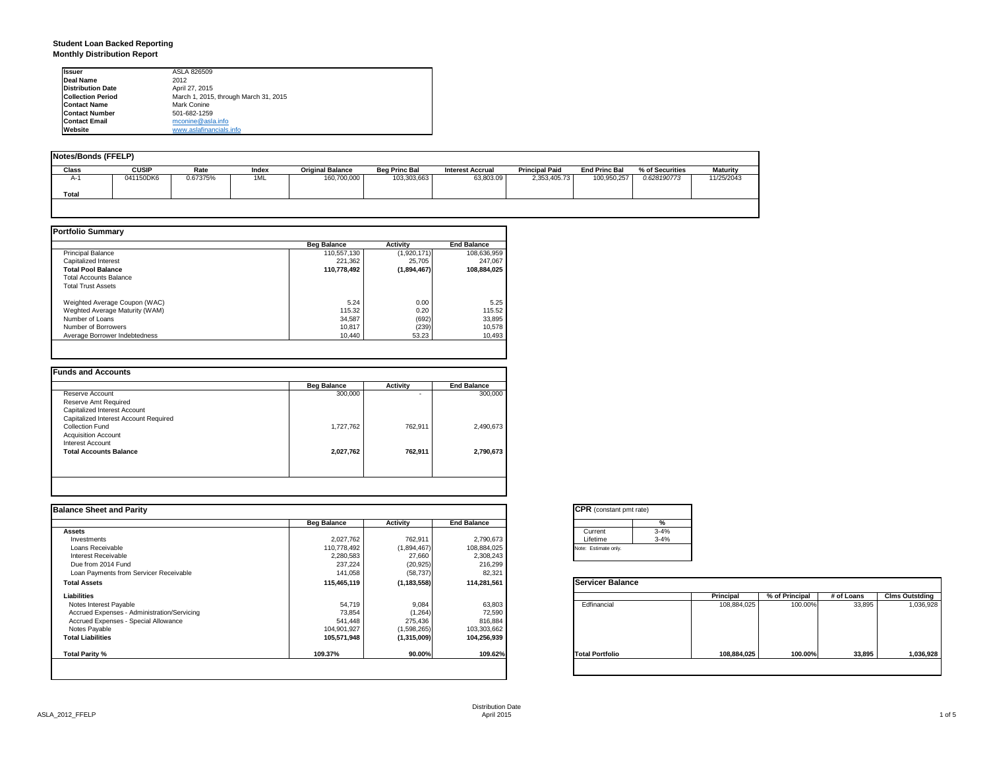## **Student Loan Backed Reporting Monthly Distribution Report**

| <b>Issuer</b>            | ASLA 826509                           |  |  |  |
|--------------------------|---------------------------------------|--|--|--|
| Deal Name                | 2012                                  |  |  |  |
| <b>Distribution Date</b> | April 27, 2015                        |  |  |  |
| <b>Collection Period</b> | March 1, 2015, through March 31, 2015 |  |  |  |
| <b>Contact Name</b>      | Mark Conine                           |  |  |  |
| <b>Contact Number</b>    | 501-682-1259                          |  |  |  |
| <b>Contact Email</b>     | mconine@asla.info                     |  |  |  |
| Website                  | www.aslafinancials.info               |  |  |  |

| Notes/Bonds (FFELP) |              |          |       |                         |                      |                         |                       |                      |                 |                 |
|---------------------|--------------|----------|-------|-------------------------|----------------------|-------------------------|-----------------------|----------------------|-----------------|-----------------|
| Class               | <b>CUSIP</b> | Rate     | Index | <b>Original Balance</b> | <b>Beg Princ Bal</b> | <b>Interest Accrual</b> | <b>Principal Paid</b> | <b>End Princ Bal</b> | % of Securities | <b>Maturity</b> |
| A-1                 | 041150DK6    | 0.67375% | 1ML   | 160,700,000             | 103,303,663          | 63.803.09               | 2,353,405.73          | 100.950.257          | 0.628190773     | 11/25/2043      |
| Total               |              |          |       |                         |                      |                         |                       |                      |                 |                 |
|                     |              |          |       |                         |                      |                         |                       |                      |                 |                 |

|                                | <b>Beg Balance</b> | <b>Activity</b> | <b>End Balance</b> |
|--------------------------------|--------------------|-----------------|--------------------|
| <b>Principal Balance</b>       | 110,557,130        | (1,920,171)     | 108,636,959        |
| Capitalized Interest           | 221.362            | 25,705          | 247.067            |
| <b>Total Pool Balance</b>      | 110,778,492        | (1,894,467)     | 108,884,025        |
| <b>Total Accounts Balance</b>  |                    |                 |                    |
| <b>Total Trust Assets</b>      |                    |                 |                    |
| Weighted Average Coupon (WAC)  | 5.24               | 0.00            | 5.25               |
| Weghted Average Maturity (WAM) | 115.32             | 0.20            | 115.52             |
| Number of Loans                | 34,587             | (692)           | 33,895             |
| Number of Borrowers            | 10,817             | (239)           | 10,578             |
| Average Borrower Indebtedness  | 10.440             | 53.23           | 10,493             |

|                                       | <b>Beg Balance</b> | <b>Activity</b> | <b>End Balance</b> |
|---------------------------------------|--------------------|-----------------|--------------------|
| Reserve Account                       | 300,000            |                 | 300,000            |
| Reserve Amt Required                  |                    |                 |                    |
| Capitalized Interest Account          |                    |                 |                    |
| Capitalized Interest Account Required |                    |                 |                    |
| Collection Fund                       | 1,727,762          | 762.911         | 2,490,673          |
| <b>Acquisition Account</b>            |                    |                 |                    |
| Interest Account                      |                    |                 |                    |
| <b>Total Accounts Balance</b>         | 2,027,762          | 762.911         | 2,790,673          |
|                                       |                    |                 |                    |
|                                       |                    |                 |                    |

| <b>Balance Sheet and Parity</b>             |                    |               |                    | <b>CPR</b> (constant pmt rate) |             |                |            |                       |
|---------------------------------------------|--------------------|---------------|--------------------|--------------------------------|-------------|----------------|------------|-----------------------|
|                                             | <b>Beg Balance</b> | Activity      | <b>End Balance</b> | %                              |             |                |            |                       |
| <b>Assets</b>                               |                    |               |                    | $3 - 4%$<br>Current            |             |                |            |                       |
| Investments                                 | 2,027,762          | 762,911       | 2,790,673          | Lifetime<br>$3 - 4%$           |             |                |            |                       |
| Loans Receivable                            | 110,778,492        | (1,894,467)   | 108,884,025        | Note: Estimate only.           |             |                |            |                       |
| Interest Receivable                         | 2,280,583          | 27,660        | 2,308,243          |                                |             |                |            |                       |
| Due from 2014 Fund                          | 237,224            | (20, 925)     | 216,299            |                                |             |                |            |                       |
| Loan Payments from Servicer Receivable      | 141,058            | (58, 737)     | 82,321             |                                |             |                |            |                       |
| <b>Total Assets</b>                         | 115,465,119        | (1, 183, 558) | 114,281,561        | <b>Servicer Balance</b>        |             |                |            |                       |
| Liabilities                                 |                    |               |                    |                                | Principal   | % of Principal | # of Loans | <b>Clms Outstding</b> |
| Notes Interest Payable                      | 54,719             | 9,084         | 63,803             | Edfinancial                    | 108,884,025 | 100.00%        | 33,895     | 1,036,928             |
| Accrued Expenses - Administration/Servicing | 73,854             | (1,264)       | 72,590             |                                |             |                |            |                       |
| Accrued Expenses - Special Allowance        | 541,448            | 275,436       | 816,884            |                                |             |                |            |                       |
| Notes Payable                               | 104,901,927        | (1,598,265)   | 103,303,662        |                                |             |                |            |                       |
| <b>Total Liabilities</b>                    | 105,571,948        | (1,315,009)   | 104,256,939        |                                |             |                |            |                       |
| Total Parity %                              | 109.37%            | 90.00%        | 109.62%            | <b>Total Portfolio</b>         | 108,884,025 | 100.00%        | 33,895     | 1,036,928             |
|                                             |                    |               |                    |                                |             |                |            |                       |

| <b>CPR</b> (constant pmt rate) |          |  |  |  |  |
|--------------------------------|----------|--|--|--|--|
|                                | %        |  |  |  |  |
| Current                        | $3 - 4%$ |  |  |  |  |
| Lifetime                       | $3 - 4%$ |  |  |  |  |
| Note: Estimate only.           |          |  |  |  |  |

|                        | Principal   | % of Principal | # of Loans | <b>Clms Outstding</b> |
|------------------------|-------------|----------------|------------|-----------------------|
| Edfinancial            | 108,884,025 | 100.00%        | 33,895     | 1,036,928             |
| <b>Total Portfolio</b> | 108,884,025 | 100.00%        | 33,895     | 1,036,928             |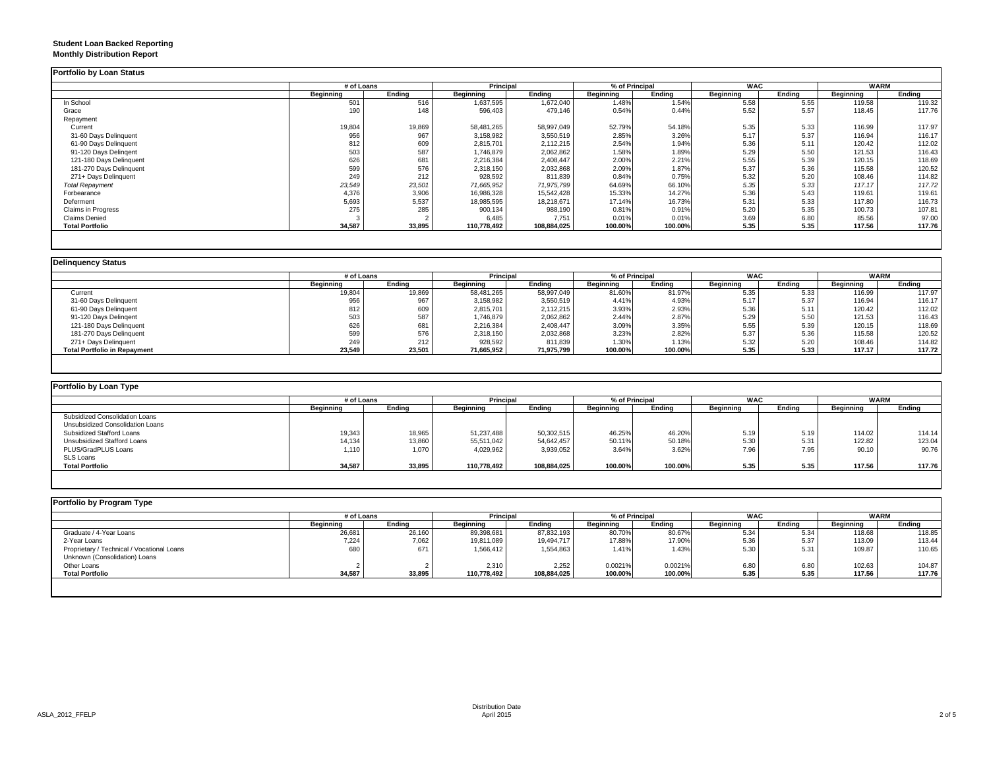## **Student Loan Backed Reporting Monthly Distribution Report**

|                         |           | # of Loans |                  | Principal   |           | % of Principal |                  | <b>WAC</b> |           | <b>WARM</b> |
|-------------------------|-----------|------------|------------------|-------------|-----------|----------------|------------------|------------|-----------|-------------|
|                         | Beginning | Ending     | <b>Beginning</b> | Ending      | Beginning | Ending         | <b>Beginning</b> | Ending     | Beginning | Ending      |
| In School               | 501       | 516        | 1,637,595        | 1,672,040   | 1.48%     | 1.54%          | 5.58             | 5.55       | 119.58    | 119.32      |
| Grace                   | 190       | 148        | 596,403          | 479,146     | 0.54%     | 0.44%          | 5.52             | 5.57       | 118.45    | 117.76      |
| Repayment               |           |            |                  |             |           |                |                  |            |           |             |
| Current                 | 19,804    | 19,869     | 58,481,265       | 58,997,049  | 52.79%    | 54.18%         | 5.35             | 5.33       | 116.99    | 117.97      |
| 31-60 Days Delinquent   | 956       | 967        | 3,158,982        | 3,550,519   | 2.85%     | 3.26%          | 5.17             | 5.37       | 116.94    | 116.17      |
| 61-90 Days Delinquent   | 812       | 609        | 2,815,701        | 2,112,215   | 2.54%     | 1.94%          | 5.36             | 5.11       | 120.42    | 112.02      |
| 91-120 Days Delingent   | 503       | 587        | 1,746,879        | 2,062,862   | 1.58%     | 1.89%          | 5.29             | 5.50       | 121.53    | 116.43      |
| 121-180 Days Delinquent | 626       | 681        | 2,216,384        | 2,408,447   | 2.00%     | 2.21%          | 5.55             | 5.39       | 120.15    | 118.69      |
| 181-270 Days Delinquent | 599       | 576        | 2,318,150        | 2,032,868   | 2.09%     | 1.87%          | 5.37             | 5.36       | 115.58    | 120.52      |
| 271+ Days Delinquent    | 249       | 212        | 928,592          | 811,839     | 0.84%     | 0.75%          | 5.32             | 5.20       | 108.46    | 114.82      |
| <b>Total Repayment</b>  | 23,549    | 23,501     | 71,665,952       | 71,975,799  | 64.69%    | 66.10%         | 5.35             | 5.33       | 117.17    | 117.72      |
| Forbearance             | 4,376     | 3,906      | 16,986,328       | 15,542,428  | 15.33%    | 14.27%         | 5.36             | 5.43       | 119.61    | 119.61      |
| Deferment               | 5,693     | 5,537      | 18,985,595       | 18,218,671  | 17.14%    | 16.73%         | 5.31             | 5.33       | 117.80    | 116.73      |
| Claims in Progress      | 275       | 285        | 900,134          | 988,190     | 0.81%     | 0.91%          | 5.20             | 5.35       | 100.73    | 107.81      |
| <b>Claims Denied</b>    |           |            | 6,485            | 7.751       | 0.01%     | 0.01%          | 3.69             | 6.80       | 85.56     | 97.00       |
| <b>Total Portfolio</b>  | 34,587    | 33,895     | 110,778,492      | 108,884,025 | 100.00%   | 100.00%        | 5.35             | 5.35       | 117.56    | 117.76      |

|                                     |           | # of Loans |                  | <b>Principal</b> |           | % of Principal |                  | <b>WAC</b> |           | <b>WARM</b> |
|-------------------------------------|-----------|------------|------------------|------------------|-----------|----------------|------------------|------------|-----------|-------------|
|                                     | Beainnina | Endina     | <b>Beainning</b> | Ending           | Beginning | Endina         | <b>Beginning</b> | Endina     | Beginning | Ending      |
| Current                             | 19,804    | 19,869     | 58,481,265       | 58,997,049       | 81.60%    | 81.97%         | 5.35             | 5.33       | 116.99    | 117.97      |
| 31-60 Days Delinquent               | 956       | 967        | 3,158,982        | 3,550,519        | 4.41%     | 4.93%          | 5.17             | 5.37       | 116.94    | 116.17      |
| 61-90 Days Delinquent               | 812       | 609        | 2,815,701        | 2,112,215        | 3.93%     | 2.93%          | 5.36             | 5.11       | 120.42    | 112.02      |
| 91-120 Days Delingent               | 503       | 587        | 1,746,879        | 2,062,862        | 2.44%     | 2.87%          | 5.29             | 5.50       | 121.53    | 116.43      |
| 121-180 Days Delinquent             | 626       | 681        | 2,216,384        | 2,408,447        | 3.09%     | 3.35%          | 5.55             | 5.39       | 120.15    | 118.69      |
| 181-270 Days Delinquent             | 599       | 576        | 2,318,150        | 2,032,868        | 3.23%     | 2.82%          | 5.37             | 5.36       | 115.58    | 120.52      |
| 271+ Days Delinguent                | 249       | 212        | 928,592          | 811,839          | 1.30%     | 1.13%          | 5.32             | 5.20       | 108.46    | 114.82      |
| <b>Total Portfolio in Repayment</b> | 23,549    | 23,501     | 71,665,952       | 71,975,799       | 100.00%   | 100.00%        | 5.35             | 5.33       | 117.17    | 117.72      |

| Portfolio by Loan Type           |                  |        |             |             |                  |         |                  |        |                  |        |
|----------------------------------|------------------|--------|-------------|-------------|------------------|---------|------------------|--------|------------------|--------|
|                                  | # of Loans       |        | Principal   |             | % of Principal   |         | <b>WAC</b>       |        | <b>WARM</b>      |        |
|                                  | <b>Beginning</b> | Ending | Beginning   | Endina      | <b>Beginning</b> | Ending  | <b>Beginning</b> | Ending | <b>Beginning</b> | Ending |
| Subsidized Consolidation Loans   |                  |        |             |             |                  |         |                  |        |                  |        |
| Unsubsidized Consolidation Loans |                  |        |             |             |                  |         |                  |        |                  |        |
| Subsidized Stafford Loans        | 19,343           | 18,965 | 51,237,488  | 50,302,515  | 46.25%           | 46.20%  | 5.19             | 5.19   | 114.02           | 114.14 |
| Unsubsidized Stafford Loans      | 14,134           | 13,860 | 55,511,042  | 54,642,457  | 50.11%           | 50.18%  | 5.30             | 5.31   | 122.82           | 123.04 |
| PLUS/GradPLUS Loans              | 1,110            | 1,070  | 4,029,962   | 3,939,052   | 3.64%            | 3.62%   | 7.96             | 7.95   | 90.10            | 90.76  |
| <b>SLS Loans</b>                 |                  |        |             |             |                  |         |                  |        |                  |        |
| <b>Total Portfolio</b>           | 34,587           | 33,895 | 110.778.492 | 108.884.025 | 100.00%          | 100.00% | 5.35             | 5.35   | 117.56           | 117.76 |

| Portfolio by Program Type                  |                  |            |             |                  |                  |                |                  |            |           |             |  |
|--------------------------------------------|------------------|------------|-------------|------------------|------------------|----------------|------------------|------------|-----------|-------------|--|
|                                            |                  | # of Loans |             | <b>Principal</b> |                  | % of Principal |                  | <b>WAC</b> |           | <b>WARM</b> |  |
|                                            | <b>Beginning</b> | Endina     | Beginning   | Endina           | <b>Beginning</b> | Ending         | <b>Beginning</b> | Ending     | Beginning | Ending      |  |
| Graduate / 4-Year Loans                    | 26,681           | 26,160     | 89,398,681  | 87,832,193       | 80.70%           | 80.67%         | 5.34             | 5.34       | 118.68    | 118.85      |  |
| 2-Year Loans                               | 7,224            | 7,062      | 19,811,089  | 19,494,717       | 17.88%           | 17.90%         | 5.36             | 5.37       | 113.09    | 113.44      |  |
| Proprietary / Technical / Vocational Loans | 680              | 671        | 1,566,412   | 1,554,863        | 1.41%            | 1.43%          | 5.30             | 5.31       | 109.87    | 110.65      |  |
| Unknown (Consolidation) Loans              |                  |            |             |                  |                  |                |                  |            |           |             |  |
| Other Loans                                |                  |            | 2,310       | 2.252            | 0.0021%          | 0.0021%        | 6.80             | 6.80       | 102.63    | 104.87      |  |
| <b>Total Portfolio</b>                     | 34,587           | 33,895     | 110.778.492 | 108,884,025      | 100.00%          | 100.00%        | 5.35             | 5.35       | 117.56    | 117.76      |  |
|                                            |                  |            |             |                  |                  |                |                  |            |           |             |  |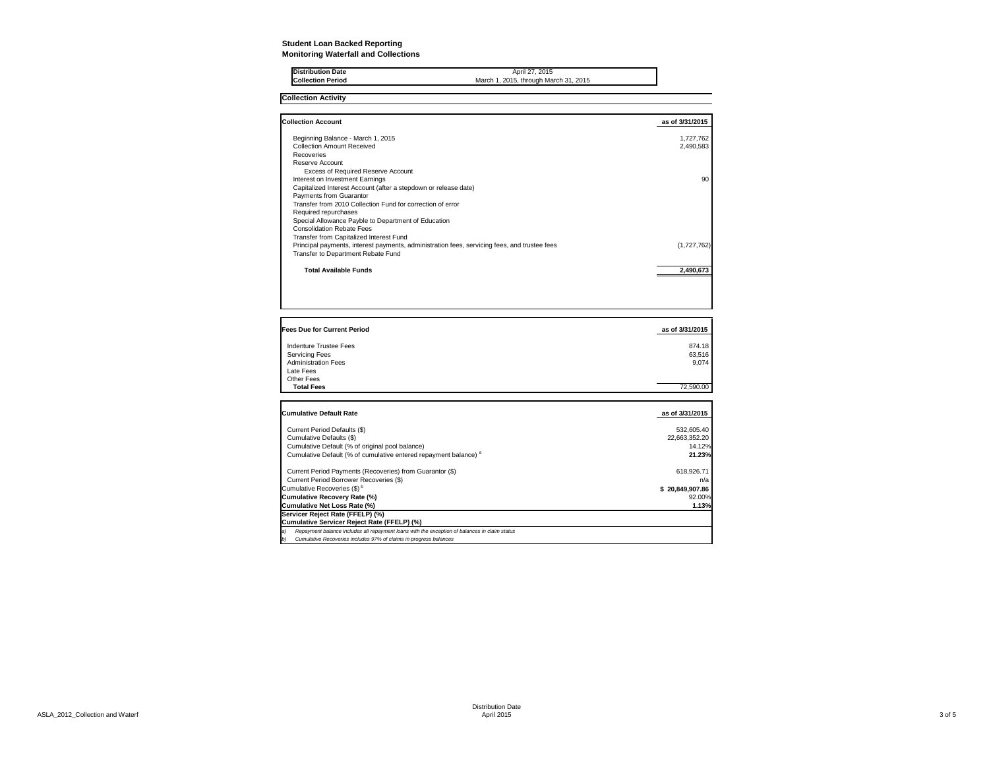## **Student Loan Backed Reporting Monitoring Waterfall and Collections**

| <b>Distribution Date</b> | April 27, 2015                        |
|--------------------------|---------------------------------------|
| <b>Collection Period</b> | March 1, 2015, through March 31, 2015 |
|                          |                                       |

**Collection Activity**

| <b>Collection Account</b>                                                                    | as of 3/31/2015 |
|----------------------------------------------------------------------------------------------|-----------------|
| Beginning Balance - March 1, 2015                                                            | 1,727,762       |
| Collection Amount Received                                                                   | 2,490,583       |
| Recoveries                                                                                   |                 |
| Reserve Account                                                                              |                 |
| Excess of Required Reserve Account                                                           |                 |
| Interest on Investment Earnings                                                              | 90              |
| Capitalized Interest Account (after a stepdown or release date)                              |                 |
| Payments from Guarantor                                                                      |                 |
| Transfer from 2010 Collection Fund for correction of error                                   |                 |
| Required repurchases                                                                         |                 |
| Special Allowance Payble to Department of Education                                          |                 |
| <b>Consolidation Rebate Fees</b>                                                             |                 |
| Transfer from Capitalized Interest Fund                                                      |                 |
| Principal payments, interest payments, administration fees, servicing fees, and trustee fees | (1,727,762)     |
| Transfer to Department Rebate Fund                                                           |                 |
| <b>Total Available Funds</b>                                                                 | 2.490.673       |
|                                                                                              |                 |

| <b>Fees Due for Current Period</b> | as of 3/31/2015 |
|------------------------------------|-----------------|
| Indenture Trustee Fees             | 874.18          |
| <b>Servicing Fees</b>              | 63,516          |
| <b>Administration Fees</b>         | 9.074           |
| Late Fees                          |                 |
| Other Fees                         |                 |
| <b>Total Fees</b>                  | 72,590.00       |
|                                    |                 |

| <b>Cumulative Default Rate</b>                                                                      | as of 3/31/2015 |
|-----------------------------------------------------------------------------------------------------|-----------------|
| Current Period Defaults (\$)                                                                        | 532.605.40      |
| Cumulative Defaults (\$)                                                                            | 22.663.352.20   |
| Cumulative Default (% of original pool balance)                                                     | 14.12%          |
| Cumulative Default (% of cumulative entered repayment balance) <sup>a</sup>                         | 21.23%          |
| Current Period Payments (Recoveries) from Guarantor (\$)                                            | 618.926.71      |
| Current Period Borrower Recoveries (\$)                                                             | n/a             |
| Cumulative Recoveries (\$) <sup>b</sup>                                                             | \$20.849.907.86 |
| Cumulative Recovery Rate (%)                                                                        | 92.00%          |
| Cumulative Net Loss Rate (%)                                                                        | 1.13%           |
| Servicer Reject Rate (FFELP) (%)                                                                    |                 |
| Cumulative Servicer Reject Rate (FFELP) (%)                                                         |                 |
| Repayment balance includes all repayment loans with the exception of balances in claim status<br>a) |                 |
| Cumulative Recoveries includes 97% of claims in progress balances<br>b)                             |                 |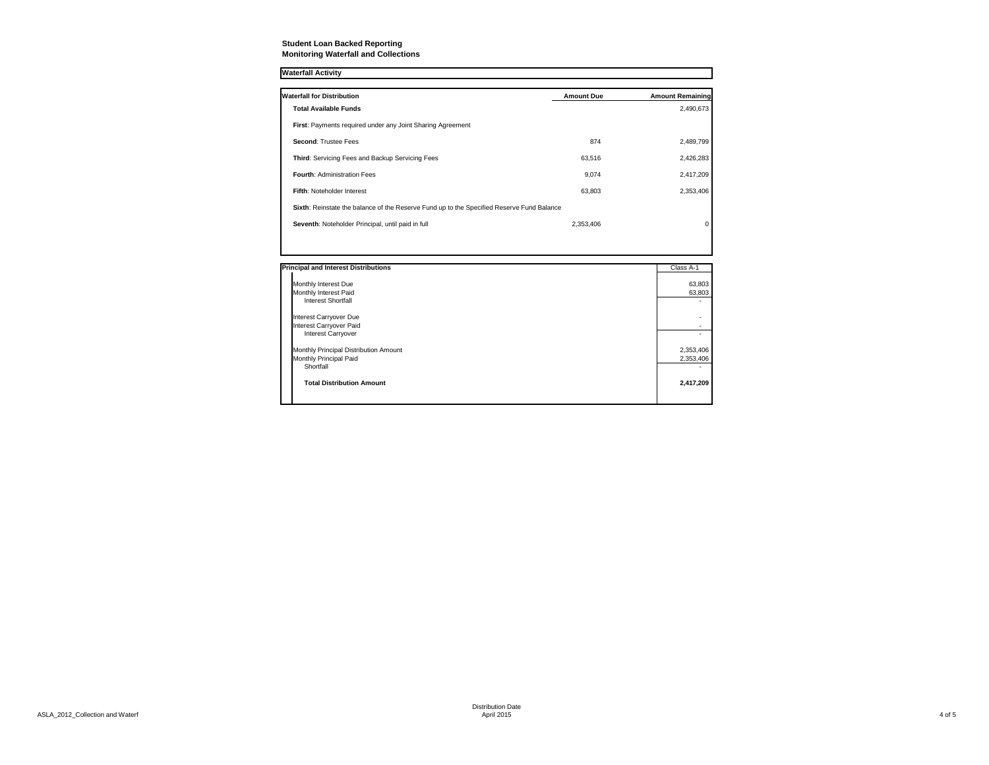## **Student Loan Backed Reporting Monitoring Waterfall and Collections**

#### **Waterfall Activity**

| <b>Waterfall for Distribution</b>                                                         | <b>Amount Due</b> | <b>Amount Remaining</b> |
|-------------------------------------------------------------------------------------------|-------------------|-------------------------|
| <b>Total Available Funds</b>                                                              |                   | 2,490,673               |
| <b>First: Payments required under any Joint Sharing Agreement</b>                         |                   |                         |
| Second: Trustee Fees                                                                      | 874               | 2,489,799               |
| Third: Servicing Fees and Backup Servicing Fees                                           | 63.516            | 2,426,283               |
| <b>Fourth: Administration Fees</b>                                                        | 9.074             | 2,417,209               |
| Fifth: Noteholder Interest                                                                | 63.803            | 2,353,406               |
| Sixth: Reinstate the balance of the Reserve Fund up to the Specified Reserve Fund Balance |                   |                         |
| Seventh: Noteholder Principal, until paid in full                                         | 2,353,406         | $\Omega$                |
|                                                                                           |                   |                         |

| <b>Principal and Interest Distributions</b> | Class A-1 |
|---------------------------------------------|-----------|
| Monthly Interest Due                        | 63,803    |
| Monthly Interest Paid                       | 63,803    |
| <b>Interest Shortfall</b>                   |           |
| <b>Interest Carryover Due</b>               |           |
| <b>Interest Carryover Paid</b>              |           |
| <b>Interest Carryover</b>                   |           |
| Monthly Principal Distribution Amount       | 2,353,406 |
| Monthly Principal Paid                      | 2,353,406 |
| Shortfall                                   |           |
| <b>Total Distribution Amount</b>            | 2,417,209 |
|                                             |           |